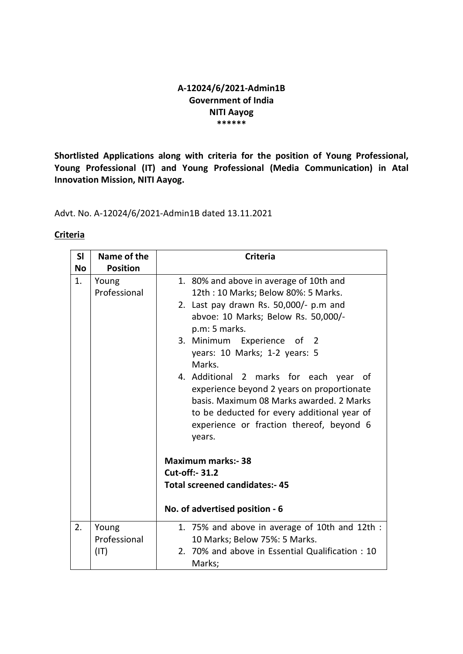### A-12024/6/2021-Admin1B Government of India NITI Aayog \*\*\*\*\*\*

Shortlisted Applications along with criteria for the position of Young Professional, Young Professional (IT) and Young Professional (Media Communication) in Atal Innovation Mission, NITI Aayog.

Advt. No. A-12024/6/2021-Admin1B dated 13.11.2021

## **Criteria**

| SI        | Name of the           | <b>Criteria</b>                                                                                                                                                                                                                                                                                                                                                                                                                                                                                          |
|-----------|-----------------------|----------------------------------------------------------------------------------------------------------------------------------------------------------------------------------------------------------------------------------------------------------------------------------------------------------------------------------------------------------------------------------------------------------------------------------------------------------------------------------------------------------|
| <b>No</b> | <b>Position</b>       |                                                                                                                                                                                                                                                                                                                                                                                                                                                                                                          |
| 1.        | Young<br>Professional | 1. 80% and above in average of 10th and<br>12th: 10 Marks; Below 80%: 5 Marks.<br>2. Last pay drawn Rs. 50,000/- p.m and<br>abvoe: 10 Marks; Below Rs. 50,000/-<br>p.m: 5 marks.<br>3. Minimum Experience of 2<br>years: 10 Marks; 1-2 years: 5<br>Marks.<br>4. Additional 2 marks for each<br>of<br>year<br>experience beyond 2 years on proportionate<br>basis. Maximum 08 Marks awarded, 2 Marks<br>to be deducted for every additional year of<br>experience or fraction thereof, beyond 6<br>years. |
| 2.        | Young                 | <b>Maximum marks:-38</b><br><b>Cut-off:- 31.2</b><br><b>Total screened candidates:- 45</b><br>No. of advertised position - 6<br>1. 75% and above in average of 10th and 12th :                                                                                                                                                                                                                                                                                                                           |
|           | Professional<br>(IT)  | 10 Marks; Below 75%: 5 Marks.<br>2. 70% and above in Essential Qualification: 10<br>Marks;                                                                                                                                                                                                                                                                                                                                                                                                               |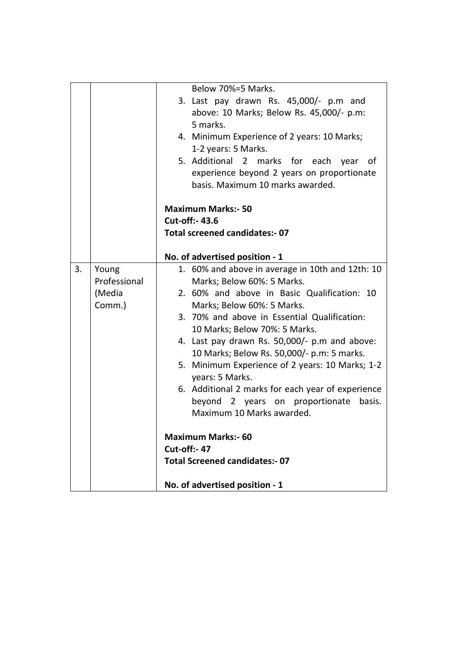|    |              | Below 70%=5 Marks.                                |
|----|--------------|---------------------------------------------------|
|    |              | 3. Last pay drawn Rs. 45,000/- p.m and            |
|    |              | above: 10 Marks; Below Rs. 45,000/- p.m:          |
|    |              | 5 marks.                                          |
|    |              | 4. Minimum Experience of 2 years: 10 Marks;       |
|    |              | 1-2 years: 5 Marks.                               |
|    |              | 5. Additional 2 marks for each year<br>of         |
|    |              | experience beyond 2 years on proportionate        |
|    |              | basis. Maximum 10 marks awarded.                  |
|    |              |                                                   |
|    |              | <b>Maximum Marks:- 50</b>                         |
|    |              | <b>Cut-off:- 43.6</b>                             |
|    |              | <b>Total screened candidates:- 07</b>             |
|    |              |                                                   |
|    |              | No. of advertised position - 1                    |
| 3. | Young        | 1. 60% and above in average in 10th and 12th: 10  |
|    | Professional | Marks; Below 60%: 5 Marks.                        |
|    | (Media       | 2. 60% and above in Basic Qualification: 10       |
|    | Comm.)       | Marks; Below 60%: 5 Marks.                        |
|    |              | 3. 70% and above in Essential Qualification:      |
|    |              | 10 Marks; Below 70%: 5 Marks.                     |
|    |              | 4. Last pay drawn Rs. 50,000/- p.m and above:     |
|    |              | 10 Marks; Below Rs. 50,000/- p.m: 5 marks.        |
|    |              | 5. Minimum Experience of 2 years: 10 Marks; 1-2   |
|    |              | years: 5 Marks.                                   |
|    |              | 6. Additional 2 marks for each year of experience |
|    |              | beyond 2 years on proportionate basis.            |
|    |              | Maximum 10 Marks awarded.                         |
|    |              |                                                   |
|    |              | <b>Maximum Marks:- 60</b>                         |
|    |              | <b>Cut-off:- 47</b>                               |
|    |              | <b>Total Screened candidates:- 07</b>             |
|    |              |                                                   |
|    |              | No. of advertised position - 1                    |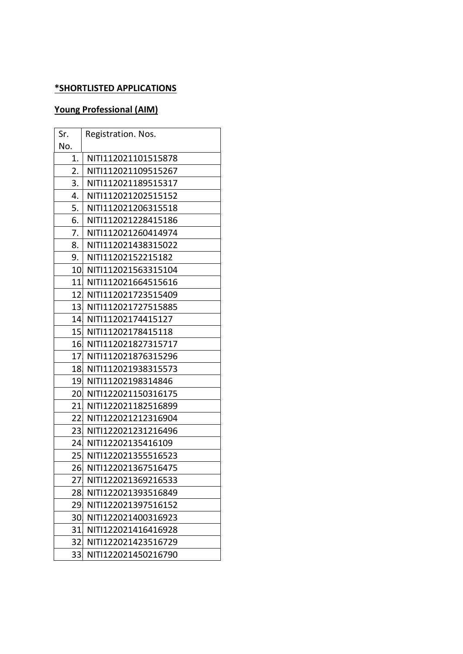## \*SHORTLISTED APPLICATIONS

# Young Professional (AIM)

| Sr.             | Registration. Nos.  |
|-----------------|---------------------|
| No.             |                     |
| 1.              | NITI112021101515878 |
| 2.              | NITI112021109515267 |
| 3.              | NITI112021189515317 |
| 4.              | NITI112021202515152 |
| 5.              | NITI112021206315518 |
| 6.              | NITI112021228415186 |
| 7.              | NITI112021260414974 |
| 8.              | NITI112021438315022 |
| 9.              | NITI11202152215182  |
| 10 <sub>l</sub> | NITI112021563315104 |
| 11              | NITI112021664515616 |
| 12 <sub>1</sub> | NITI112021723515409 |
| 13 <sub>l</sub> | NITI112021727515885 |
| 14              | NITI11202174415127  |
| 15 <sub>l</sub> | NITI11202178415118  |
| 16              | NITI112021827315717 |
| 17 <sup>1</sup> | NITI112021876315296 |
| 18              | NITI112021938315573 |
| 19              | NITI11202198314846  |
| 20              | NITI122021150316175 |
| 21              | NITI122021182516899 |
| 22 <sub>1</sub> | NITI122021212316904 |
| 23              | NITI122021231216496 |
| 24              | NITI12202135416109  |
| 25              | NITI122021355516523 |
| 26              | NITI122021367516475 |
| 27.             | NITI122021369216533 |
| 28              | NITI122021393516849 |
| 29              | NITI122021397516152 |
| 30.             | NITI122021400316923 |
| 31,             | NITI122021416416928 |
| 32              | NITI122021423516729 |
| 33              | NITI122021450216790 |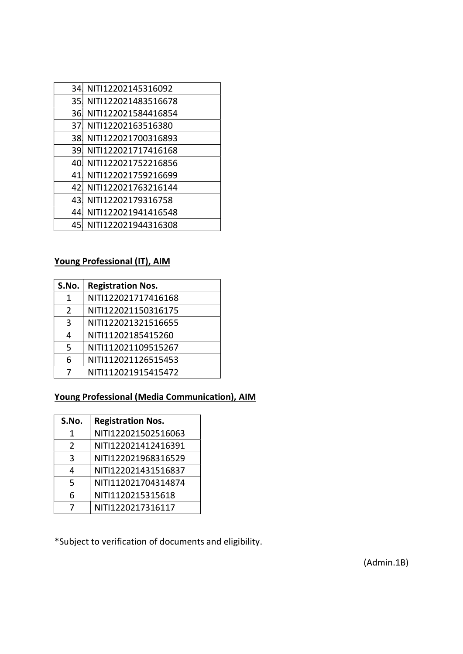| 34. | NITI12202145316092  |
|-----|---------------------|
| 35  | NITI122021483516678 |
| 36. | NITI122021584416854 |
| 37  | NITI12202163516380  |
| 38. | NITI122021700316893 |
| 39. | NITI122021717416168 |
| 40  | NITI122021752216856 |
| 41  | NITI122021759216699 |
| 42. | NITI122021763216144 |
| 43  | NITI12202179316758  |
| 44  | NITI122021941416548 |
| 45  | NITI122021944316308 |

# Young Professional (IT), AIM

| S.No. | <b>Registration Nos.</b> |
|-------|--------------------------|
| 1     | NITI122021717416168      |
| 2     | NITI122021150316175      |
| 3     | NITI122021321516655      |
| 4     | NITI11202185415260       |
| 5     | NITI112021109515267      |
| 6     | NITI112021126515453      |
|       | NITI112021915415472      |
|       |                          |

# Young Professional (Media Communication), AIM

| S.No.         | <b>Registration Nos.</b> |
|---------------|--------------------------|
| 1             | NITI122021502516063      |
| $\mathcal{P}$ | NITI122021412416391      |
| 3             | NITI122021968316529      |
| 4             | NITI122021431516837      |
| 5             | NITI112021704314874      |
| 6             | NITI1120215315618        |
|               | NITI1220217316117        |

\*Subject to verification of documents and eligibility.